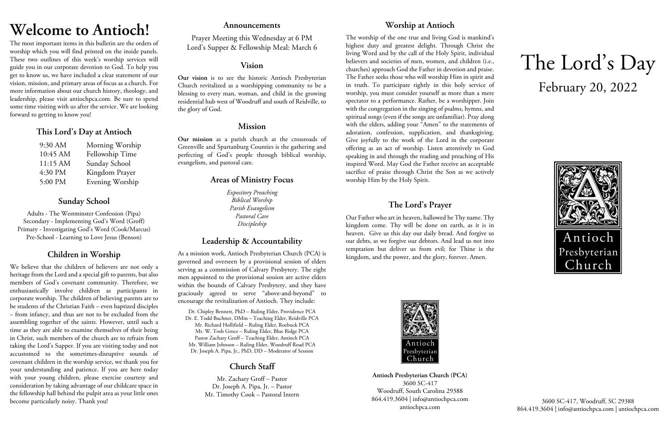# **Welcome to Antioch!**

The most important items in this bulletin are the orders of worship which you will find printed on the inside panels. These two outlines of this week's worship services will guide you in our corporate devotion to God. To help you get to know us, we have included a clear statement of our vision, mission, and primary areas of focus as a church. For more information about our church history, theology, and leadership, please visit antiochpca.com. Be sure to spend some time visiting with us after the service. We are looking forward to getting to know you!

# **This Lord's Day at Antioch**

| 9:30 AM  | Morning Worship |
|----------|-----------------|
| 10:45 AM | Fellowship Time |
| 11:15 AM | Sunday School   |
| 4:30 PM  | Kingdom Prayer  |
| 5:00 PM  | Evening Worship |

# **Sunday School**

Adults - The Westminster Confession (Pipa) Secondary - Implementing God's Word (Groff) Primary - Investigating God's Word (Cook/Marcus) Pre-School - Learning to Love Jesus (Benson)

# **Children in Worship**

We believe that the children of believers are not only a heritage from the Lord and a special gift to parents, but also members of God's covenant community. Therefore, we enthusiastically involve children as participants in corporate worship. The children of believing parents are to be students of the Christian Faith – even baptized disciples – from infancy, and thus are not to be excluded from the assembling together of the saints. However, until such a time as they are able to examine themselves of their being in Christ, such members of the church are to refrain from taking the Lord's Supper. If you are visiting today and not accustomed to the sometimes-disruptive sounds of covenant children in the worship service, we thank you for your understanding and patience. If you are here today with your young children, please exercise courtesy and consideration by taking advantage of our childcare space in the fellowship hall behind the pulpit area as your little ones become particularly noisy. Thank you!

# **Announcements**

Prayer Meeting this Wednesday at 6 PM Lord's Supper & Fellowship Meal: March 6

# **Vision**

**Our vision** is to see the historic Antioch Presbyterian Church revitalized as a worshipping community to be a blessing to every man, woman, and child in the growing residential hub west of Woodruff and south of Reidville, to the glory of God.

# **Mission**

**Our mission** as a parish church at the crossroads of Greenville and Spartanburg Counties is the gathering and perfecting of God's people through biblical worship, evangelism, and pastoral care.

# **Areas of Ministry Focus**

*Expository Preaching Biblical Worship Parish Evangelism Pastoral Care Discipleship*

# **Leadership & Accountability**

As a mission work, Antioch Presbyterian Church (PCA) is governed and overseen by a provisional session of elders serving as a commission of Calvary Presbytery. The eight men appointed to the provisional session are active elders within the bounds of Calvary Presbytery, and they have graciously agreed to serve "above-and-beyond" to encourage the revitalization of Antioch. They include:

Dr. Chipley Bennett, PhD – Ruling Elder, Providence PCA Dr. E. Todd Buchner, DMin – Teaching Elder, Reidville PCA Mr. Richard Hollifield – Ruling Elder, Roebuck PCA Mr. W. Tosh Groce – Ruling Elder, Blue Ridge PCA Pastor Zachary Groff – Teaching Elder, Antioch PCA Mr. William Johnson – Ruling Elder, Woodruff Road PCA Dr. Joseph A. Pipa, Jr., PhD, DD – Moderator of Session

# **Church Staff**

Mr. Zachary Groff – Pastor Dr. Joseph A. Pipa, Jr. – Pastor Mr. Timothy Cook – Pastoral Intern

# **Worship at Antioch**

The worship of the one true and living God is mankind's highest duty and greatest delight. Through Christ the living Word and by the call of the Holy Spirit, individual believers and societies of men, women, and children (i.e., churches) approach God the Father in devotion and praise. The Father seeks those who will worship Him in spirit and in truth. To participate rightly in this holy service of worship, you must consider yourself as more than a mere spectator to a performance. Rather, be a worshipper. Join with the congregation in the singing of psalms, hymns, and spiritual songs (even if the songs are unfamiliar). Pray along with the elders, adding your "Amen" to the statements of adoration, confession, supplication, and thanksgiving. Give joyfully to the work of the Lord in the corporate offering as an act of worship. Listen attentively to God speaking in and through the reading and preaching of His inspired Word. May God the Father receive an acceptable sacrifice of praise through Christ the Son as we actively worship Him by the Holy Spirit.

# **The Lord's Prayer**

Our Father who art in heaven, hallowed be Thy name. Thy kingdom come. Thy will be done on earth, as it is in heaven. Give us this day our daily bread. And forgive us our debts, as we forgive our debtors. And lead us not into temptation but deliver us from evil; for Thine is the kingdom, and the power, and the glory, forever. Amen.



**Antioch Presbyterian Church (PCA)** 3600 SC-417 Woodruff, South Carolina 29388 864.419.3604 | info@antiochpca.com antiochpca.com

# The Lord's Day February 20, 2022



3600 SC-417, Woodruff, SC 29388 864.419.3604 | info@antiochpca.com | antiochpca.com